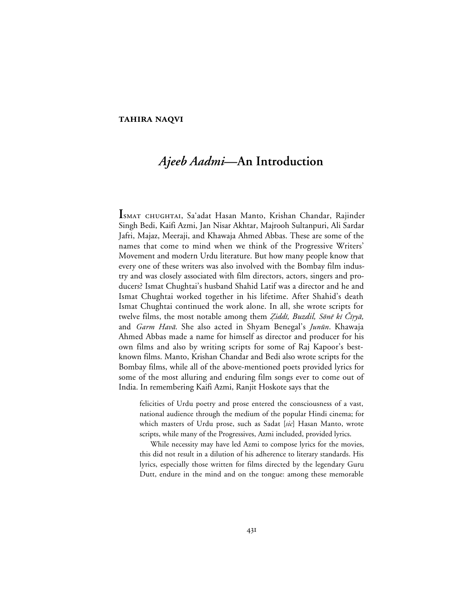## **TAHIRA NAQVI**

## *Ajeeb Aadmi***—An Introduction**

ISMAT CHUGHTAI, Sa'adat Hasan Manto, Krishan Chandar, Rajinder Singh Bedi, Kaifi Azmi, Jan Nisar Akhtar, Majrooh Sultanpuri, Ali Sardar Jafri, Majaz, Meeraji, and Khawaja Ahmed Abbas. These are some of the names that come to mind when we think of the Progressive Writers' Movement and modern Urdu literature. But how many people know that every one of these writers was also involved with the Bombay film industry and was closely associated with film directors, actors, singers and producers? Ismat Chughtai's husband Shahid Latif was a director and he and Ismat Chughtai worked together in his lifetime. After Shahid's death Ismat Chughtai continued the work alone. In all, she wrote scripts for twelve films, the most notable among them *Ziddī, Buzdil, Sōnē kī Čīŗyā*, and Garm Havā. She also acted in Shyam Benegal's Junūn. Khawaja Ahmed Abbas made a name for himself as director and producer for his own films and also by writing scripts for some of Raj Kapoor's bestknown films. Manto, Krishan Chandar and Bedi also wrote scripts for the Bombay films, while all of the above-mentioned poets provided lyrics for some of the most alluring and enduring film songs ever to come out of India. In remembering Kaifi Azmi, Ranjit Hoskote says that the

felicities of Urdu poetry and prose entered the consciousness of a vast, national audience through the medium of the popular Hindi cinema; for which masters of Urdu prose, such as Sadat [*sic*] Hasan Manto, wrote scripts, while many of the Progressives, Azmi included, provided lyrics.

While necessity may have led Azmi to compose lyrics for the movies, this did not result in a dilution of his adherence to literary standards. His lyrics, especially those written for films directed by the legendary Guru Dutt, endure in the mind and on the tongue: among these memorable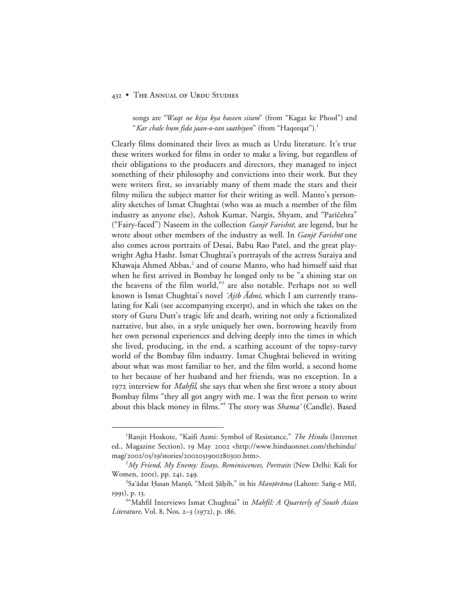## 432 • THE ANNUAL OF URDU STUDIES

songs are "*Waqt ne kiya kya haseen sitam*" (from "Kagaz ke Phool") and "*Kar chale hum fida jaan-o-tan saathiyon*" (from "Haqeeqat").1

Clearly films dominated their lives as much as Urdu literature. It's true these writers worked for films in order to make a living, but regardless of their obligations to the producers and directors, they managed to inject something of their philosophy and convictions into their work. But they were writers first, so invariably many of them made the stars and their filmy milieu the subject matter for their writing as well. Manto's personality sketches of Ismat Chughtai (who was as much a member of the film industry as anyone else), Ashok Kumar, Nargis, Shyam, and "Parīčehra" ("Fairy-faced") Naseem in the collection  $Gain\bar{e}$  Farishte, are legend, but he wrote about other members of the industry as well. In *Ganjē Farishtē* one also comes across portraits of Desai, Babu Rao Patel, and the great playwright Agha Hashr. Ismat Chughtai's portrayals of the actress Suraiya and Khawaja Ahmed Abbas,<sup>2</sup> and of course Manto, who had himself said that when he first arrived in Bombay he longed only to be "a shining star on the heavens of the film world,"3 are also notable. Perhaps not so well known is Ismat Chughtai's novel 'Ajīb  $\bar{A}dmi$ , which I am currently translating for Kali (see accompanying excerpt), and in which she takes on the story of Guru Dutt's tragic life and death, writing not only a fictionalized narrative, but also, in a style uniquely her own, borrowing heavily from her own personal experiences and delving deeply into the times in which she lived, producing, in the end, a scathing account of the topsy-turvy world of the Bombay film industry. Ismat Chughtai believed in writing about what was most familiar to her, and the film world, a second home to her because of her husband and her friends, was no exception. In a 1972 interview for *Mahfil*, she says that when she first wrote a story about Bombay films "they all got angry with me. I was the first person to write about this black money in films."4 The story was *Shama'* (Candle). Based

 <sup>1</sup> Ranjit Hoskote, "Kaifi Azmi: Symbol of Resistance," *The Hindu* (Internet ed., Magazine Section), 19 May 2002 <http://www.hinduonnet.com/thehindu/ mag/2002/05/19/stories/2002051900280300.htm>.

<sup>2</sup> *My Friend, My Enemy: Essays, Reminiscences, Portraits* (New Delhi: Kali for Women, 2001), pp. 241, 249.

<sup>&</sup>lt;sup>3</sup>Sa'ādat Ḥasan Manṭō, "Merā Ṣāḥib," in his *Manṭōrāma* (Lahore: Saṅg-e Mīl, 1991), p. 13.

<sup>4</sup> "Mahfil Interviews Ismat Chughtai" in *Mahfil: A Quarterly of South Asian Literature*, Vol. 8, Nos. 2–3 (1972), p. 186.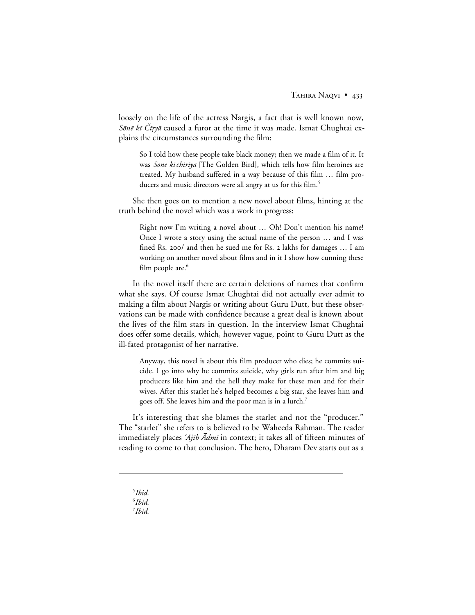loosely on the life of the actress Nargis, a fact that is well known now, Sone ki Čirya caused a furor at the time it was made. Ismat Chughtai explains the circumstances surrounding the film:

So I told how these people take black money; then we made a film of it. It was *Sone ki chiriya* [The Golden Bird], which tells how film heroines are treated. My husband suffered in a way because of this film … film producers and music directors were all angry at us for this film.<sup>5</sup>

She then goes on to mention a new novel about films, hinting at the truth behind the novel which was a work in progress:

Right now I'm writing a novel about … Oh! Don't mention his name! Once I wrote a story using the actual name of the person … and I was fined Rs. 200/ and then he sued me for Rs. 2 lakhs for damages ... I am working on another novel about films and in it I show how cunning these film people are.<sup>6</sup>

In the novel itself there are certain deletions of names that confirm what she says. Of course Ismat Chughtai did not actually ever admit to making a film about Nargis or writing about Guru Dutt, but these observations can be made with confidence because a great deal is known about the lives of the film stars in question. In the interview Ismat Chughtai does offer some details, which, however vague, point to Guru Dutt as the ill-fated protagonist of her narrative.

Anyway, this novel is about this film producer who dies; he commits suicide. I go into why he commits suicide, why girls run after him and big producers like him and the hell they make for these men and for their wives. After this starlet he's helped becomes a big star, she leaves him and goes off. She leaves him and the poor man is in a lurch.7

It's interesting that she blames the starlet and not the "producer." The "starlet" she refers to is believed to be Waheeda Rahman. The reader immediately places 'Ajib  $\bar{A}$ dmi in context; it takes all of fifteen minutes of reading to come to that conclusion. The hero, Dharam Dev starts out as a

5 *Ibid.*

 $\overline{a}$ 

7 *Ibid.*

<sup>6</sup> *Ibid.*